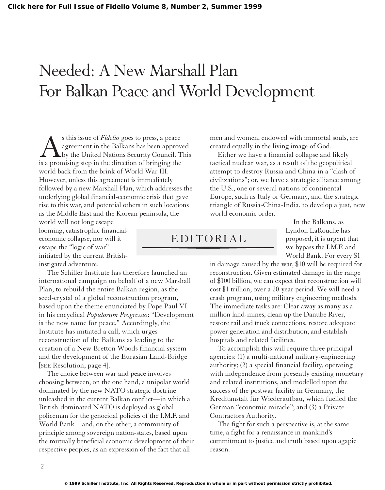## Needed: A New Marshall Plan For Balkan Peace and World Development

s this issue of *Fidelio* goes to press, a peace<br>agreement in the Balkans has been approv<br>by the United Nations Security Council. 7<br>is a promising step in the direction of bringing the agreement in the Balkans has been approved by the United Nations Security Council. This is a promising step in the direction of bringing the world back from the brink of World War III. However, unless this agreement is immediately followed by a new Marshall Plan, which addresses the underlying global financial-economic crisis that gave rise to this war, and potential others in such locations as the Middle East and the Korean peninsula, the

world will not long escape looming, catastrophic financialeconomic collapse, nor will it escape the "logic of war" initiated by the current Britishinstigated adventure.

The Schiller Institute has therefore launched an international campaign on behalf of a new Marshall Plan, to rebuild the entire Balkan region, as the seed-crystal of a global reconstruction program, based upon the theme enunciated by Pope Paul VI in his encyclical *Populorum Progressio*: "Development is the new name for peace." Accordingly, the Institute has initiated a call, which urges reconstruction of the Balkans as leading to the creation of a New Bretton Woods financial system and the development of the Eurasian Land-Bridge [SEE Resolution, page 4].

The choice between war and peace involves choosing between, on the one hand, a unipolar world dominated by the new NATO strategic doctrine unleashed in the current Balkan conflict—in which a British-dominated NATO is deployed as global policeman for the genocidal policies of the I.M.F. and World Bank—and, on the other, a community of principle among sovereign nation-states, based upon the mutually beneficial economic development of their respective peoples, as an expression of the fact that all

men and women, endowed with immortal souls, are created equally in the living image of God.

Either we have a financial collapse and likely tactical nuclear war, as a result of the geopolitical attempt to destroy Russia and China in a "clash of civilizations"; or, we have a strategic alliance among the U.S., one or several nations of continental Europe, such as Italy or Germany, and the strategic triangle of Russia-China-India, to develop a just, new world economic order.

## EDITORIAL

In the Balkans, as Lyndon LaRouche has proposed, it is urgent that we bypass the I.M.F. and World Bank. For every \$1

in damage caused by the war, \$10 will be required for reconstruction. Given estimated damage in the range of \$100 billion, we can expect that reconstruction will cost \$1 trillion, over a 20-year period. We will need a crash program, using military engineering methods. The immediate tasks are: Clear away as many as a million land-mines, clean up the Danube River, restore rail and truck connections, restore adequate power generation and distribution, and establish hospitals and related facilities.

To accomplish this will require three principal agencies: (1) a multi-national military-engineering authority; (2) a special financial facility, operating with independence from presently existing monetary and related institutions, and modelled upon the success of the postwar facility in Germany, the Kreditanstalt für Wiederaufbau, which fuelled the German "economic miracle"; and (3) a Private Contractors Authority.

The fight for such a perspective is, at the same time, a fight for a renaissance in mankind's commitment to justice and truth based upon agapic reason.